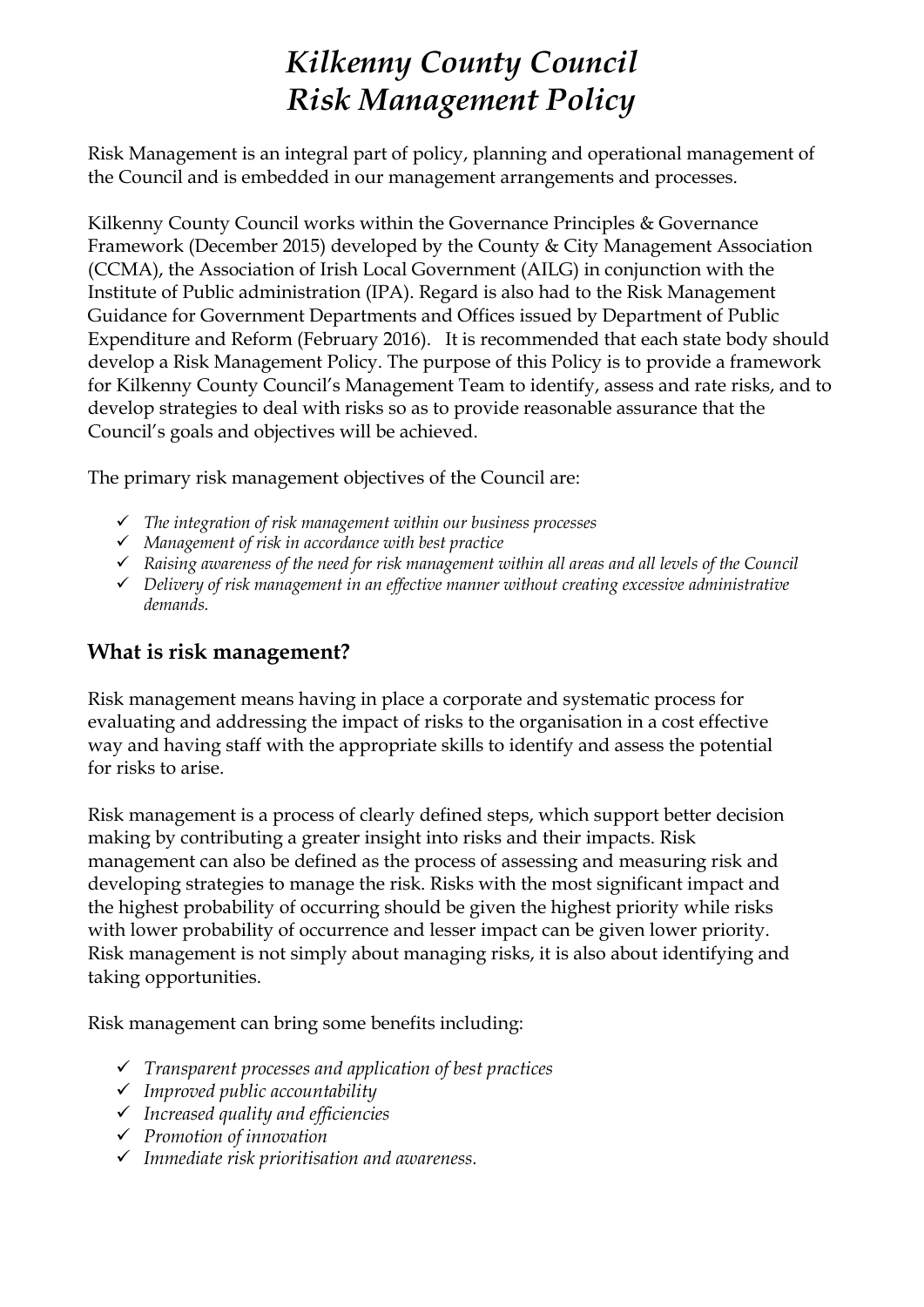# *Kilkenny County Council Risk Management Policy*

Risk Management is an integral part of policy, planning and operational management of the Council and is embedded in our management arrangements and processes.

Kilkenny County Council works within the Governance Principles & Governance Framework (December 2015) developed by the County & City Management Association (CCMA), the Association of Irish Local Government (AILG) in conjunction with the Institute of Public administration (IPA). Regard is also had to the Risk Management Guidance for Government Departments and Offices issued by Department of Public Expenditure and Reform (February 2016). It is recommended that each state body should develop a Risk Management Policy. The purpose of this Policy is to provide a framework for Kilkenny County Council's Management Team to identify, assess and rate risks, and to develop strategies to deal with risks so as to provide reasonable assurance that the Council's goals and objectives will be achieved.

The primary risk management objectives of the Council are:

- ✓ *The integration of risk management within our business processes*
- ✓ *Management of risk in accordance with best practice*
- ✓ *Raising awareness of the need for risk management within all areas and all levels of the Council*
- ✓ *Delivery of risk management in an effective manner without creating excessive administrative demands.*

## **What is risk management?**

Risk management means having in place a corporate and systematic process for evaluating and addressing the impact of risks to the organisation in a cost effective way and having staff with the appropriate skills to identify and assess the potential for risks to arise.

Risk management is a process of clearly defined steps, which support better decision making by contributing a greater insight into risks and their impacts. Risk management can also be defined as the process of assessing and measuring risk and developing strategies to manage the risk. Risks with the most significant impact and the highest probability of occurring should be given the highest priority while risks with lower probability of occurrence and lesser impact can be given lower priority. Risk management is not simply about managing risks, it is also about identifying and taking opportunities.

Risk management can bring some benefits including:

- ✓ *Transparent processes and application of best practices*
- ✓ *Improved public accountability*
- ✓ *Increased quality and efficiencies*
- ✓ *Promotion of innovation*
- ✓ *Immediate risk prioritisation and awareness.*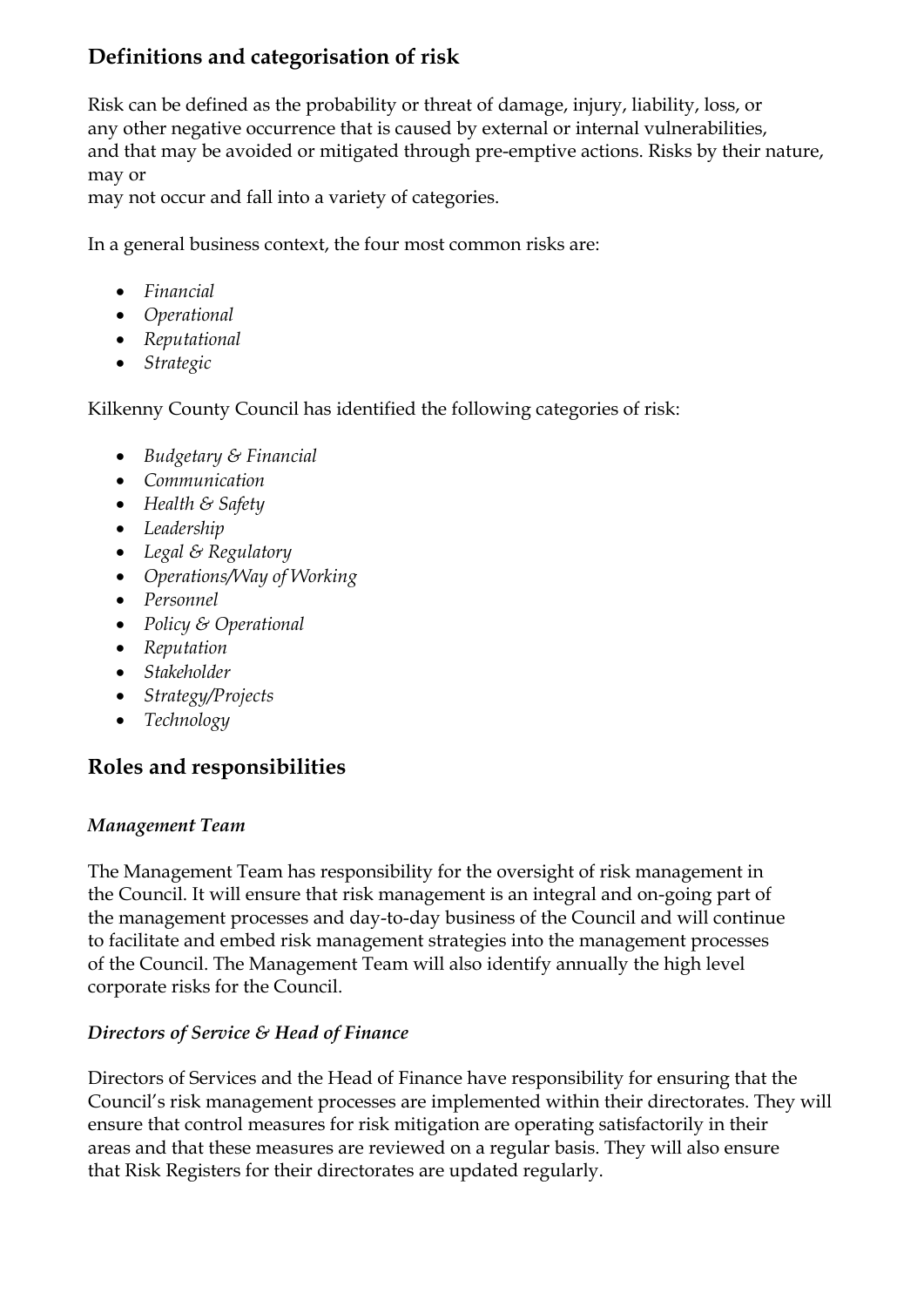# **Definitions and categorisation of risk**

Risk can be defined as the probability or threat of damage, injury, liability, loss, or any other negative occurrence that is caused by external or internal vulnerabilities, and that may be avoided or mitigated through pre-emptive actions. Risks by their nature, may or

may not occur and fall into a variety of categories.

In a general business context, the four most common risks are:

- *Financial*
- *Operational*
- *Reputational*
- *Strategic*

Kilkenny County Council has identified the following categories of risk:

- *Budgetary & Financial*
- *Communication*
- *Health & Safety*
- *Leadership*
- *Legal & Regulatory*
- *Operations/Way of Working*
- *Personnel*
- *Policy & Operational*
- *Reputation*
- *Stakeholder*
- *Strategy/Projects*
- *Technology*

## **Roles and responsibilities**

#### *Management Team*

The Management Team has responsibility for the oversight of risk management in the Council. It will ensure that risk management is an integral and on-going part of the management processes and day-to-day business of the Council and will continue to facilitate and embed risk management strategies into the management processes of the Council. The Management Team will also identify annually the high level corporate risks for the Council.

## *Directors of Service & Head of Finance*

Directors of Services and the Head of Finance have responsibility for ensuring that the Council's risk management processes are implemented within their directorates. They will ensure that control measures for risk mitigation are operating satisfactorily in their areas and that these measures are reviewed on a regular basis. They will also ensure that Risk Registers for their directorates are updated regularly.